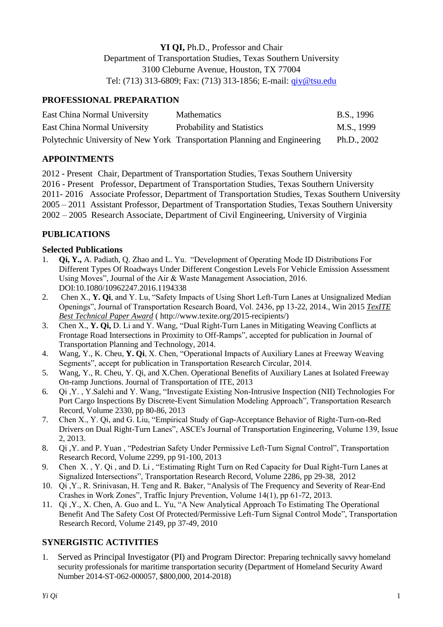# **YI QI,** Ph.D., Professor and Chair Department of Transportation Studies, Texas Southern University 3100 Cleburne Avenue, Houston, TX 77004 Tel: (713) 313-6809; Fax: (713) 313-1856; E-mail: [qiy@tsu.edu](mailto:qiy@tsu.edu)

## **PROFESSIONAL PREPARATION**

| East China Normal University | <b>Mathematics</b>                                                         | B.S., 1996    |
|------------------------------|----------------------------------------------------------------------------|---------------|
| East China Normal University | Probability and Statistics                                                 | M.S., 1999    |
|                              | Polytechnic University of New York Transportation Planning and Engineering | Ph.D., $2002$ |

# **APPOINTMENTS**

2012 - Present Chair, Department of Transportation Studies, Texas Southern University 2016 - Present Professor, Department of Transportation Studies, Texas Southern University 2011- 2016 Associate Professor, Department of Transportation Studies, Texas Southern University 2005 – 2011 Assistant Professor, Department of Transportation Studies, Texas Southern University 2002 – 2005 Research Associate, Department of Civil Engineering, University of Virginia

# **PUBLICATIONS**

### **Selected Publications**

- 1. **Qi, Y.,** A. Padiath, Q. Zhao and L. Yu. "Development of Operating Mode ID Distributions For Different Types Of Roadways Under Different Congestion Levels For Vehicle Emission Assessment Using Moves", Journal of the Air & Waste Management Association, 2016. DOI:10.1080/10962247.2016.1194338
- 2. Chen X., **Y. Qi**, and Y. Lu, "Safety Impacts of Using Short Left-Turn Lanes at Unsignalized Median Openings", Journal of Transportation Research Board, Vol. 2436, pp 13-22, 2014., Win 2015 *TexITE Best Technical Paper Award* ( http://www.texite.org/2015-recipients/)
- 3. Chen X., **Y. Qi,** D. Li and Y. Wang, "Dual Right-Turn Lanes in Mitigating Weaving Conflicts at Frontage Road Intersections in Proximity to Off-Ramps", accepted for publication in Journal of Transportation Planning and Technology, 2014.
- 4. Wang, Y., K. Cheu, **Y. Qi**, X. Chen, "Operational Impacts of Auxiliary Lanes at Freeway Weaving Segments", accept for publication in Transportation Research Circular, 2014.
- 5. Wang, Y., R. Cheu, Y. Qi, and X.Chen. Operational Benefits of Auxiliary Lanes at Isolated Freeway On-ramp Junctions. Journal of Transportation of ITE, 2013
- 6. Qi ,Y. , Y.Salehi and Y. Wang, "Investigate Existing Non-Intrusive Inspection (NII) Technologies For Port Cargo Inspections By Discrete-Event Simulation Modeling Approach", Transportation Research Record, Volume 2330, pp 80-86, 2013
- 7. Chen X., Y. Qi, and G. Liu, "Empirical Study of Gap-Acceptance Behavior of Right-Turn-on-Red Drivers on Dual Right-Turn Lanes", ASCE's Journal of Transportation Engineering, Volume 139, Issue 2, 2013.
- 8. Qi ,Y. and P. Yuan , "Pedestrian Safety Under Permissive Left-Turn Signal Control", Transportation Research Record, Volume 2299, pp 91-100, 2013
- 9. Chen X. , Y. Qi , and D. Li , "Estimating Right Turn on Red Capacity for Dual Right-Turn Lanes at Signalized Intersections", Transportation Research Record, Volume 2286, pp 29-38, 2012
- 10. Qi ,Y., R. Srinivasan, H. Teng and R. Baker, "Analysis of The Frequency and Severity of Rear-End Crashes in Work Zones", Traffic Injury Prevention, Volume 14(1), pp 61-72, 2013.
- 11. Qi ,Y., X. Chen, A. Guo and L. Yu, "A New Analytical Approach To Estimating The Operational Benefit And The Safety Cost Of Protected/Permissive Left-Turn Signal Control Mode", Transportation Research Record, Volume 2149, pp 37-49, 2010

## **SYNERGISTIC ACTIVITIES**

1. Served as Principal Investigator (PI) and Program Director: Preparing technically savvy homeland security professionals for maritime transportation security (Department of Homeland Security Award Number 2014-ST-062-000057, \$800,000, 2014-2018)